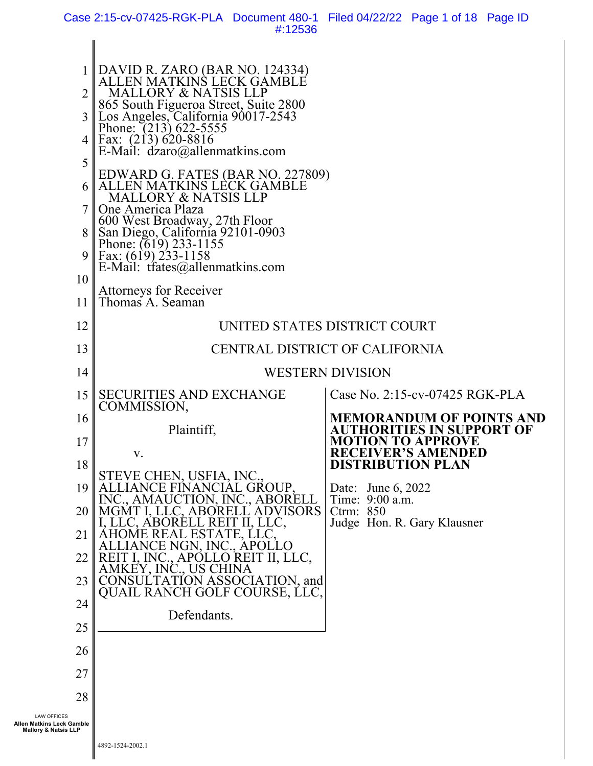Case 2:15-cv-07425-RGK-PLA Document 480-1 Filed 04/22/22 Page 1 of 18 Page ID #:12536

| $\overline{2}$<br>$\overline{3}$<br>4<br>5<br>6 I                                  | DAVID R. ZARO (BAR NO. 124334)<br>ALLEN MATKINS LECK GAMBLE<br><b>MALLORY &amp; NATSIS LLP</b><br>865 South Figueroa Street, Suite 2800<br>Los Angeles, California 90017-2543<br>Phone: (213) 622-5555<br>Fax: (213) 620-8816<br>E-Mail: $d\acute{z}$ aro@allenmatkins.com<br>EDWARD G. FATES (BAR NO. 227809)<br>ALLEN MATKINS LECK GAMBLE<br><b>MALLORY &amp; NATSIS LLP</b><br>One America Plaza |                                              |
|------------------------------------------------------------------------------------|-----------------------------------------------------------------------------------------------------------------------------------------------------------------------------------------------------------------------------------------------------------------------------------------------------------------------------------------------------------------------------------------------------|----------------------------------------------|
| 8<br>9 <sub>1</sub><br>10                                                          | 600 West Broadway, 27th Floor<br>San Diego, California 92101-0903<br>Phone: (619) 233-1155<br>Fax: $(619)$ 233-1158<br>E-Mail: $tfates@allemmathinscom$                                                                                                                                                                                                                                             |                                              |
| 11                                                                                 | <b>Attorneys for Receiver</b><br>Thomas A. Seaman                                                                                                                                                                                                                                                                                                                                                   |                                              |
| 12                                                                                 |                                                                                                                                                                                                                                                                                                                                                                                                     | UNITED STATES DISTRICT COURT                 |
| 13                                                                                 |                                                                                                                                                                                                                                                                                                                                                                                                     | CENTRAL DISTRICT OF CALIFORNIA               |
| 14                                                                                 |                                                                                                                                                                                                                                                                                                                                                                                                     | <b>WESTERN DIVISION</b>                      |
| 15                                                                                 | <b>SECURITIES AND EXCHANGE</b><br>COMMISSION,                                                                                                                                                                                                                                                                                                                                                       | Case No. 2:15-cv-07425 RGK-PLA               |
| 16                                                                                 | Plaintiff,                                                                                                                                                                                                                                                                                                                                                                                          | IORANDUM OF POINTS AND<br>TIES IN SUPPORT OF |
| 17<br>18                                                                           | V.                                                                                                                                                                                                                                                                                                                                                                                                  | N TO APPROVE<br><b>DISTRIBUTION PLAN</b>     |
| 19                                                                                 | STEVE CHEN, USFIA, INC.<br>GROUP.                                                                                                                                                                                                                                                                                                                                                                   | Date: June 6, 2022                           |
| 20                                                                                 | INC., AMAUCTION, INC., ABORELL<br>VISORS                                                                                                                                                                                                                                                                                                                                                            | Time: 9:00 a.m.<br>Ctrm: 850                 |
| 21                                                                                 |                                                                                                                                                                                                                                                                                                                                                                                                     | Judge Hon. R. Gary Klausner                  |
| 22                                                                                 | REIT II, LLC,<br>AMKEY. II                                                                                                                                                                                                                                                                                                                                                                          |                                              |
| 23                                                                                 | ASSOCIATION, and<br>CONSUL<br>CH GOLF COURSE, LLC,<br><b>QUAIL RAN</b>                                                                                                                                                                                                                                                                                                                              |                                              |
| 24                                                                                 | Defendants.                                                                                                                                                                                                                                                                                                                                                                                         |                                              |
| 25                                                                                 |                                                                                                                                                                                                                                                                                                                                                                                                     |                                              |
| 26                                                                                 |                                                                                                                                                                                                                                                                                                                                                                                                     |                                              |
| 27                                                                                 |                                                                                                                                                                                                                                                                                                                                                                                                     |                                              |
| 28                                                                                 |                                                                                                                                                                                                                                                                                                                                                                                                     |                                              |
| <b>LAW OFFICES</b><br>Allen Matkins Leck Gamble<br><b>Mallory &amp; Natsis LLP</b> |                                                                                                                                                                                                                                                                                                                                                                                                     |                                              |

Ш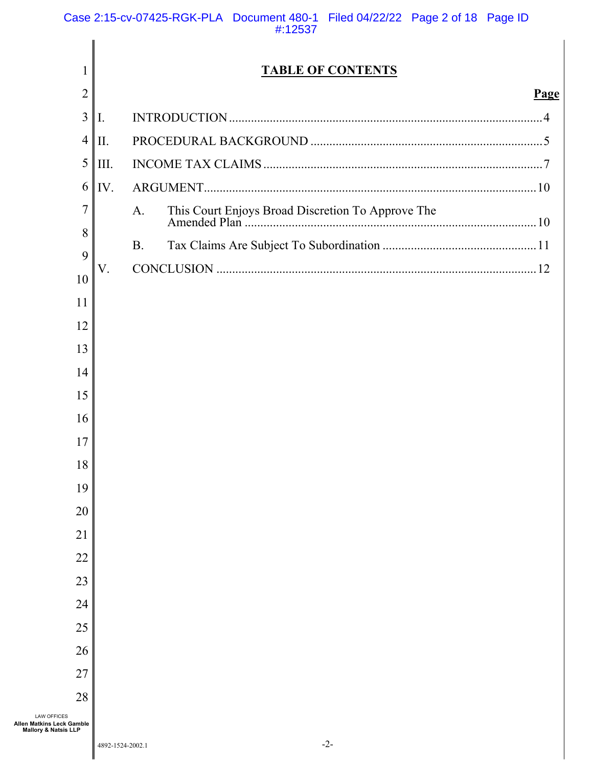| 1                                                                     |           | <b>TABLE OF CONTENTS</b> |      |
|-----------------------------------------------------------------------|-----------|--------------------------|------|
| $\overline{2}$<br>3                                                   |           |                          | Page |
| $\overline{4}$                                                        | Ι.        |                          |      |
|                                                                       | II.       |                          |      |
| 5                                                                     | III.      |                          |      |
| 6                                                                     | IV.       |                          |      |
| $\overline{7}$                                                        | A.        |                          |      |
| 8<br>9                                                                | <b>B.</b> |                          |      |
| 10                                                                    | V.        |                          |      |
| 11                                                                    |           |                          |      |
| 12                                                                    |           |                          |      |
| 13                                                                    |           |                          |      |
| 14                                                                    |           |                          |      |
| 15                                                                    |           |                          |      |
| 16                                                                    |           |                          |      |
| 17                                                                    |           |                          |      |
| 18                                                                    |           |                          |      |
| 19                                                                    |           |                          |      |
| 20                                                                    |           |                          |      |
| 21                                                                    |           |                          |      |
| 22                                                                    |           |                          |      |
| 23                                                                    |           |                          |      |
| 24                                                                    |           |                          |      |
| 25                                                                    |           |                          |      |
| 26                                                                    |           |                          |      |
| 27                                                                    |           |                          |      |
| 28                                                                    |           |                          |      |
| <b>LAW OFFICES</b><br><b>Matkins Leck Gamble</b><br>lory & Natsis LLP |           |                          |      |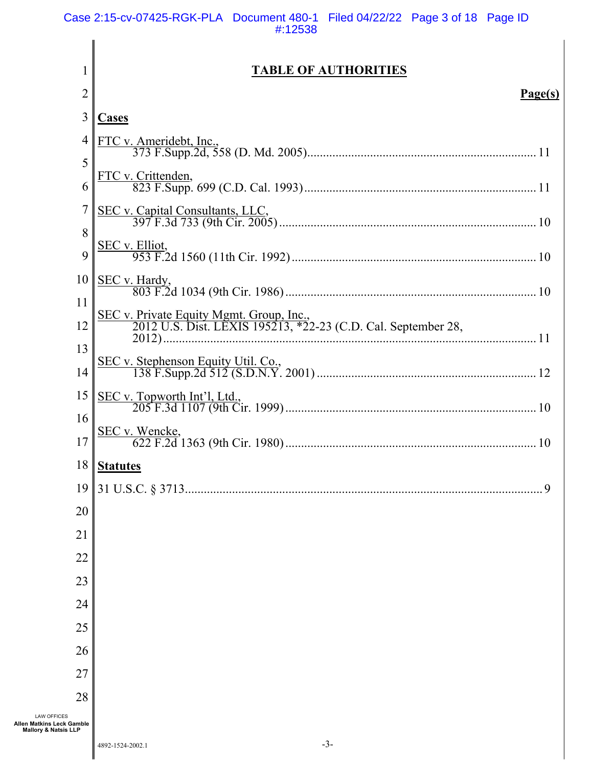|                                                                                    | <b>TABLE OF AUTHORITIES</b>                                                                               |
|------------------------------------------------------------------------------------|-----------------------------------------------------------------------------------------------------------|
| $\overline{2}$                                                                     | Page(s)                                                                                                   |
| 3                                                                                  | <b>Cases</b>                                                                                              |
| 4                                                                                  |                                                                                                           |
| 5                                                                                  |                                                                                                           |
| 6                                                                                  |                                                                                                           |
|                                                                                    |                                                                                                           |
| 8                                                                                  |                                                                                                           |
| 9                                                                                  |                                                                                                           |
| 10                                                                                 |                                                                                                           |
| 11                                                                                 |                                                                                                           |
| 12                                                                                 | SEC v. Private Equity Mgmt. Group, Inc.,<br>2012 U.S. Dist. LEXIS 195213, *22-23 (C.D. Cal. September 28, |
| 13                                                                                 |                                                                                                           |
| 14                                                                                 |                                                                                                           |
| 15                                                                                 |                                                                                                           |
| 16                                                                                 |                                                                                                           |
| 17                                                                                 |                                                                                                           |
|                                                                                    | 18   Statutes                                                                                             |
| 19                                                                                 |                                                                                                           |
| 20                                                                                 |                                                                                                           |
| 21                                                                                 |                                                                                                           |
| 22                                                                                 |                                                                                                           |
| 23                                                                                 |                                                                                                           |
| 24                                                                                 |                                                                                                           |
| 25                                                                                 |                                                                                                           |
| 26                                                                                 |                                                                                                           |
| 27                                                                                 |                                                                                                           |
| 28                                                                                 |                                                                                                           |
| <b>LAW OFFICES</b><br>Allen Matkins Leck Gamble<br><b>Mallory &amp; Natsis LLP</b> |                                                                                                           |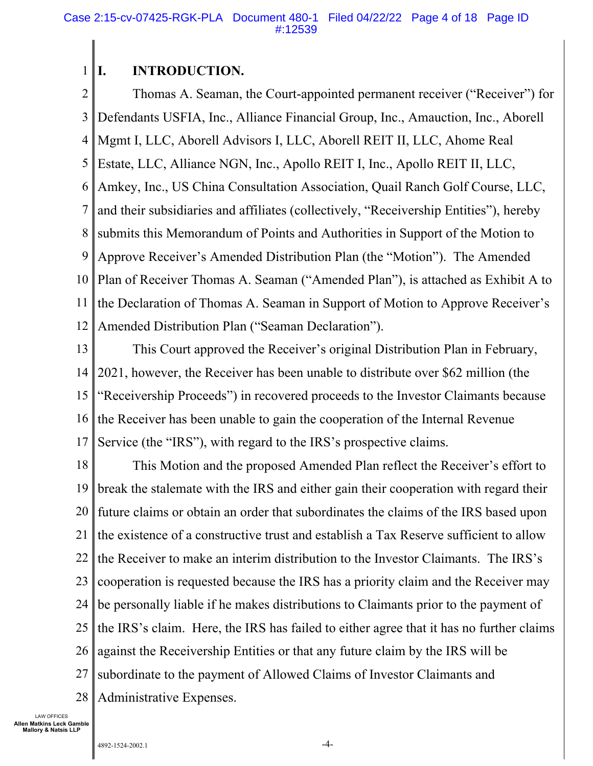#### 1 **I. INTRODUCTION.**

2 3 4 5 6 7 8 9 10 11 12 Thomas A. Seaman, the Court-appointed permanent receiver ("Receiver") for Defendants USFIA, Inc., Alliance Financial Group, Inc., Amauction, Inc., Aborell Mgmt I, LLC, Aborell Advisors I, LLC, Aborell REIT II, LLC, Ahome Real Estate, LLC, Alliance NGN, Inc., Apollo REIT I, Inc., Apollo REIT II, LLC, Amkey, Inc., US China Consultation Association, Quail Ranch Golf Course, LLC, and their subsidiaries and affiliates (collectively, "Receivership Entities"), hereby submits this Memorandum of Points and Authorities in Support of the Motion to Approve Receiver's Amended Distribution Plan (the "Motion"). The Amended Plan of Receiver Thomas A. Seaman ("Amended Plan"), is attached as Exhibit A to the Declaration of Thomas A. Seaman in Support of Motion to Approve Receiver's Amended Distribution Plan ("Seaman Declaration").

13 14 15 16 17 This Court approved the Receiver's original Distribution Plan in February, 2021, however, the Receiver has been unable to distribute over \$62 million (the "Receivership Proceeds") in recovered proceeds to the Investor Claimants because the Receiver has been unable to gain the cooperation of the Internal Revenue Service (the "IRS"), with regard to the IRS's prospective claims.

18 19 20 21 22 23 24 25 26 27 28 This Motion and the proposed Amended Plan reflect the Receiver's effort to break the stalemate with the IRS and either gain their cooperation with regard their future claims or obtain an order that subordinates the claims of the IRS based upon the existence of a constructive trust and establish a Tax Reserve sufficient to allow the Receiver to make an interim distribution to the Investor Claimants. The IRS's cooperation is requested because the IRS has a priority claim and the Receiver may be personally liable if he makes distributions to Claimants prior to the payment of the IRS's claim. Here, the IRS has failed to either agree that it has no further claims against the Receivership Entities or that any future claim by the IRS will be subordinate to the payment of Allowed Claims of Investor Claimants and Administrative Expenses.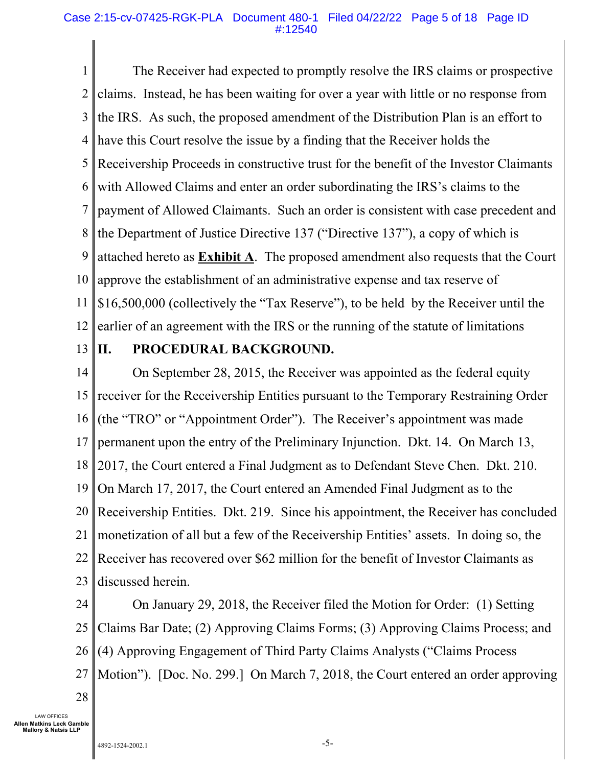1 2 3 4 5 6 7 8 9 10 11 12 The Receiver had expected to promptly resolve the IRS claims or prospective claims. Instead, he has been waiting for over a year with little or no response from the IRS. As such, the proposed amendment of the Distribution Plan is an effort to have this Court resolve the issue by a finding that the Receiver holds the Receivership Proceeds in constructive trust for the benefit of the Investor Claimants with Allowed Claims and enter an order subordinating the IRS's claims to the payment of Allowed Claimants. Such an order is consistent with case precedent and the Department of Justice Directive 137 ("Directive 137"), a copy of which is attached hereto as **Exhibit A**. The proposed amendment also requests that the Court approve the establishment of an administrative expense and tax reserve of \$16,500,000 (collectively the "Tax Reserve"), to be held by the Receiver until the earlier of an agreement with the IRS or the running of the statute of limitations

13

# **II. PROCEDURAL BACKGROUND.**

14 15 16 17 18 19 20 21 22 23 On September 28, 2015, the Receiver was appointed as the federal equity receiver for the Receivership Entities pursuant to the Temporary Restraining Order (the "TRO" or "Appointment Order"). The Receiver's appointment was made permanent upon the entry of the Preliminary Injunction. Dkt. 14. On March 13, 2017, the Court entered a Final Judgment as to Defendant Steve Chen. Dkt. 210. On March 17, 2017, the Court entered an Amended Final Judgment as to the Receivership Entities. Dkt. 219. Since his appointment, the Receiver has concluded monetization of all but a few of the Receivership Entities' assets. In doing so, the Receiver has recovered over \$62 million for the benefit of Investor Claimants as discussed herein.

24 25 26 27 On January 29, 2018, the Receiver filed the Motion for Order: (1) Setting Claims Bar Date; (2) Approving Claims Forms; (3) Approving Claims Process; and (4) Approving Engagement of Third Party Claims Analysts ("Claims Process Motion"). [Doc. No. 299.] On March 7, 2018, the Court entered an order approving

28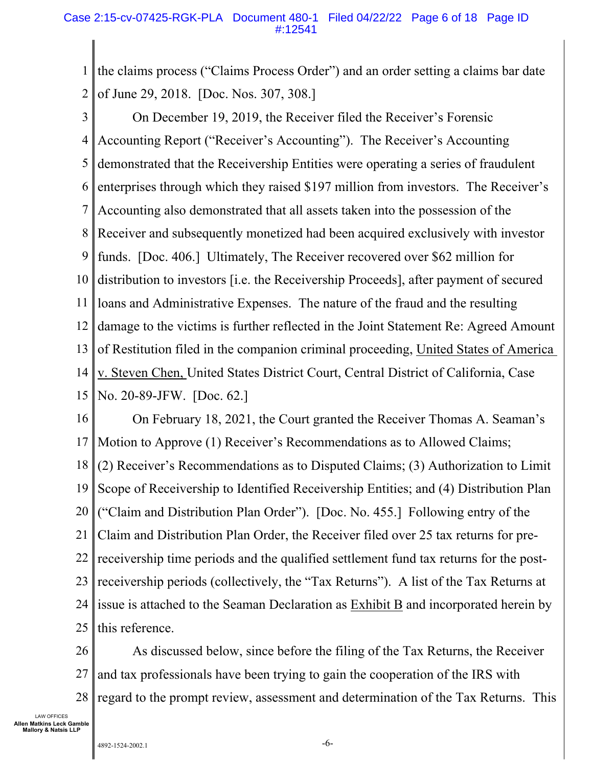1 2 the claims process ("Claims Process Order") and an order setting a claims bar date of June 29, 2018. [Doc. Nos. 307, 308.]

3 4 5 6 7 8 9 10 11 12 13 14 15 On December 19, 2019, the Receiver filed the Receiver's Forensic Accounting Report ("Receiver's Accounting"). The Receiver's Accounting demonstrated that the Receivership Entities were operating a series of fraudulent enterprises through which they raised \$197 million from investors. The Receiver's Accounting also demonstrated that all assets taken into the possession of the Receiver and subsequently monetized had been acquired exclusively with investor funds. [Doc. 406.] Ultimately, The Receiver recovered over \$62 million for distribution to investors [i.e. the Receivership Proceeds], after payment of secured loans and Administrative Expenses. The nature of the fraud and the resulting damage to the victims is further reflected in the Joint Statement Re: Agreed Amount of Restitution filed in the companion criminal proceeding, United States of America v. Steven Chen, United States District Court, Central District of California, Case No. 20-89-JFW. [Doc. 62.]

16 17 18 19 20 21 22 23 24 25 On February 18, 2021, the Court granted the Receiver Thomas A. Seaman's Motion to Approve (1) Receiver's Recommendations as to Allowed Claims; (2) Receiver's Recommendations as to Disputed Claims; (3) Authorization to Limit Scope of Receivership to Identified Receivership Entities; and (4) Distribution Plan ("Claim and Distribution Plan Order"). [Doc. No. 455.] Following entry of the Claim and Distribution Plan Order, the Receiver filed over 25 tax returns for prereceivership time periods and the qualified settlement fund tax returns for the postreceivership periods (collectively, the "Tax Returns"). A list of the Tax Returns at issue is attached to the Seaman Declaration as Exhibit B and incorporated herein by this reference.

26 27 28 As discussed below, since before the filing of the Tax Returns, the Receiver and tax professionals have been trying to gain the cooperation of the IRS with regard to the prompt review, assessment and determination of the Tax Returns. This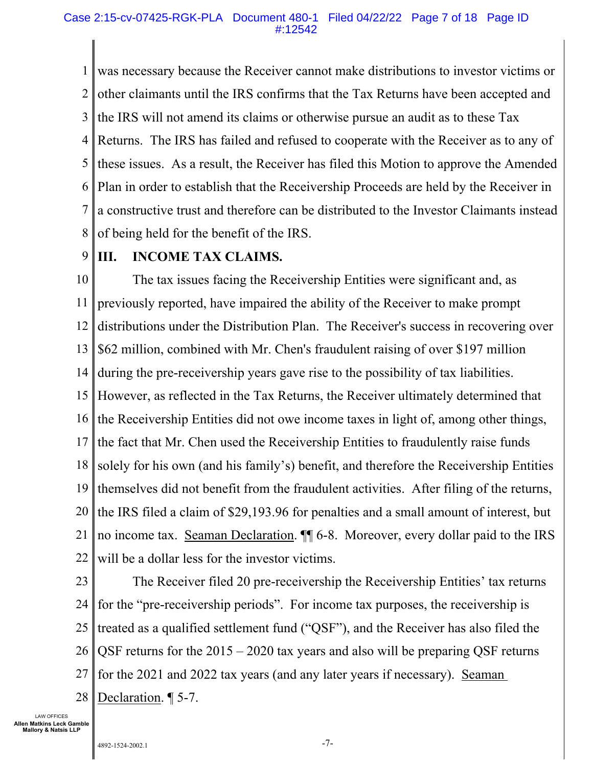#### Case 2:15-cv-07425-RGK-PLA Document 480-1 Filed 04/22/22 Page 7 of 18 Page ID #:12542

1 2 3 4 5 6 7 8 was necessary because the Receiver cannot make distributions to investor victims or other claimants until the IRS confirms that the Tax Returns have been accepted and the IRS will not amend its claims or otherwise pursue an audit as to these Tax Returns. The IRS has failed and refused to cooperate with the Receiver as to any of these issues. As a result, the Receiver has filed this Motion to approve the Amended Plan in order to establish that the Receivership Proceeds are held by the Receiver in a constructive trust and therefore can be distributed to the Investor Claimants instead of being held for the benefit of the IRS.

#### 9 **III. INCOME TAX CLAIMS.**

10 11 12 13 14 15 16 17 18 19 20 21 22 The tax issues facing the Receivership Entities were significant and, as previously reported, have impaired the ability of the Receiver to make prompt distributions under the Distribution Plan. The Receiver's success in recovering over \$62 million, combined with Mr. Chen's fraudulent raising of over \$197 million during the pre-receivership years gave rise to the possibility of tax liabilities. However, as reflected in the Tax Returns, the Receiver ultimately determined that the Receivership Entities did not owe income taxes in light of, among other things, the fact that Mr. Chen used the Receivership Entities to fraudulently raise funds solely for his own (and his family's) benefit, and therefore the Receivership Entities themselves did not benefit from the fraudulent activities. After filing of the returns, the IRS filed a claim of \$29,193.96 for penalties and a small amount of interest, but no income tax. Seaman Declaration. ¶¶ 6-8. Moreover, every dollar paid to the IRS will be a dollar less for the investor victims.

23 24 25 26 27 28 The Receiver filed 20 pre-receivership the Receivership Entities' tax returns for the "pre-receivership periods". For income tax purposes, the receivership is treated as a qualified settlement fund ("QSF"), and the Receiver has also filed the QSF returns for the 2015 – 2020 tax years and also will be preparing QSF returns for the 2021 and 2022 tax years (and any later years if necessary). Seaman Declaration. ¶ 5-7.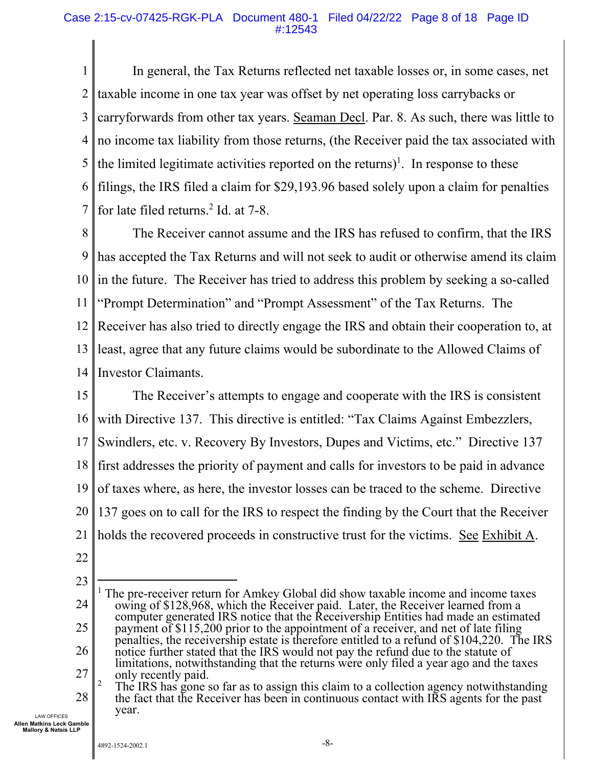### Case 2:15-cv-07425-RGK-PLA Document 480-1 Filed 04/22/22 Page 8 of 18 Page ID #:12543

1 2 3 4 5 6 7 In general, the Tax Returns reflected net taxable losses or, in some cases, net taxable income in one tax year was offset by net operating loss carrybacks or carryforwards from other tax years. Seaman Decl. Par. 8. As such, there was little to no income tax liability from those returns, (the Receiver paid the tax associated with the limited legitimate activities reported on the returns)<sup>1</sup>. In response to these filings, the IRS filed a claim for \$29,193.96 based solely upon a claim for penalties for late filed returns.<sup>2</sup> Id. at 7-8.

8 9 10 11 12 13 14 The Receiver cannot assume and the IRS has refused to confirm, that the IRS has accepted the Tax Returns and will not seek to audit or otherwise amend its claim in the future. The Receiver has tried to address this problem by seeking a so-called "Prompt Determination" and "Prompt Assessment" of the Tax Returns. The Receiver has also tried to directly engage the IRS and obtain their cooperation to, at least, agree that any future claims would be subordinate to the Allowed Claims of Investor Claimants.

15 16 17 18 19 20 21 The Receiver's attempts to engage and cooperate with the IRS is consistent with Directive 137. This directive is entitled: "Tax Claims Against Embezzlers, Swindlers, etc. v. Recovery By Investors, Dupes and Victims, etc." Directive 137 first addresses the priority of payment and calls for investors to be paid in advance of taxes where, as here, the investor losses can be traced to the scheme. Directive 137 goes on to call for the IRS to respect the finding by the Court that the Receiver holds the recovered proceeds in constructive trust for the victims. See Exhibit A.

22

LAW OFFICES **Allen Matkins Leck Gamble Mallory & Natsis LLP** 

year.

<sup>23</sup>  24 25 26 27 28 <sup>1</sup> The pre-receiver return for Amkey Global did show taxable income and income taxes owing of \$128,968, which the Receiver paid. Later, the Receiver learned from a computer generated IRS notice that the Receivership Entities had made an estimated payment of \$115,200 prior to the appointment of a receiver, and net of late filing penalties, the receivership estate is therefore entitled to a refund of \$104,220. The IRS notice further stated that the IRS would not pay the refund due to the statute of limitations, notwithstanding that the returns were only filed a year ago and the taxes only recently paid. 2 The IRS has gone so far as to assign this claim to a collection agency notwithstanding the fact that the Receiver has been in continuous contact with IRS agents for the past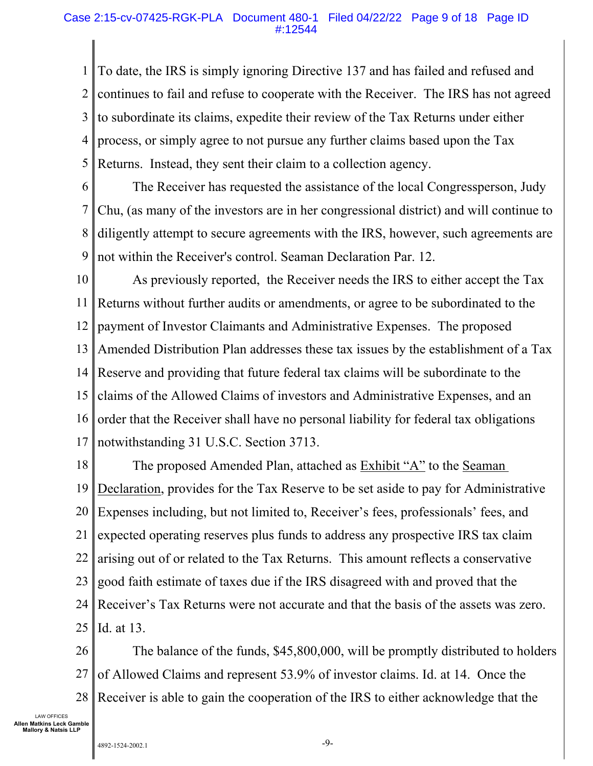#### Case 2:15-cv-07425-RGK-PLA Document 480-1 Filed 04/22/22 Page 9 of 18 Page ID #:12544

1 2 3 4 5 To date, the IRS is simply ignoring Directive 137 and has failed and refused and continues to fail and refuse to cooperate with the Receiver. The IRS has not agreed to subordinate its claims, expedite their review of the Tax Returns under either process, or simply agree to not pursue any further claims based upon the Tax Returns. Instead, they sent their claim to a collection agency.

6 7 8 9 The Receiver has requested the assistance of the local Congressperson, Judy Chu, (as many of the investors are in her congressional district) and will continue to diligently attempt to secure agreements with the IRS, however, such agreements are not within the Receiver's control. Seaman Declaration Par. 12.

10 11 12 13 14 15 16 17 As previously reported, the Receiver needs the IRS to either accept the Tax Returns without further audits or amendments, or agree to be subordinated to the payment of Investor Claimants and Administrative Expenses. The proposed Amended Distribution Plan addresses these tax issues by the establishment of a Tax Reserve and providing that future federal tax claims will be subordinate to the claims of the Allowed Claims of investors and Administrative Expenses, and an order that the Receiver shall have no personal liability for federal tax obligations notwithstanding 31 U.S.C. Section 3713.

18 19 20 21 22 23 24 25 The proposed Amended Plan, attached as Exhibit "A" to the Seaman Declaration, provides for the Tax Reserve to be set aside to pay for Administrative Expenses including, but not limited to, Receiver's fees, professionals' fees, and expected operating reserves plus funds to address any prospective IRS tax claim arising out of or related to the Tax Returns. This amount reflects a conservative good faith estimate of taxes due if the IRS disagreed with and proved that the Receiver's Tax Returns were not accurate and that the basis of the assets was zero. Id. at 13.

26 27 28 The balance of the funds, \$45,800,000, will be promptly distributed to holders of Allowed Claims and represent 53.9% of investor claims. Id. at 14. Once the Receiver is able to gain the cooperation of the IRS to either acknowledge that the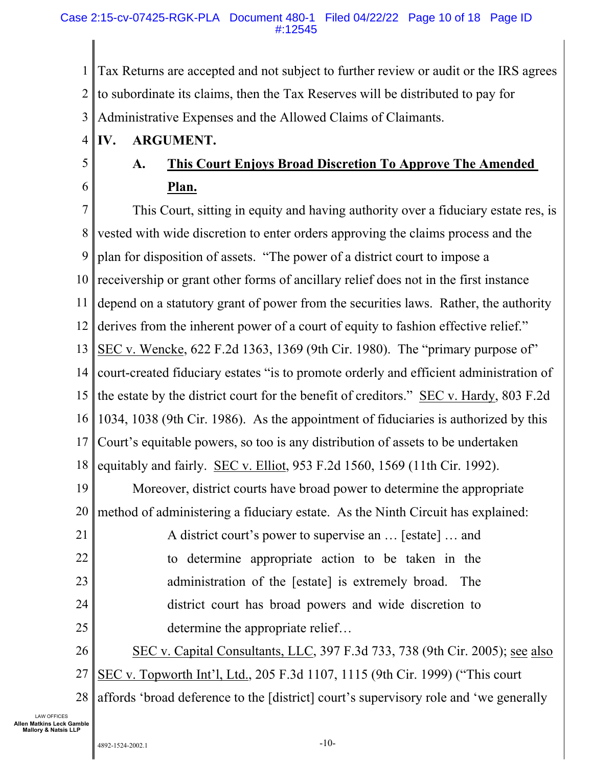1 2 3 Tax Returns are accepted and not subject to further review or audit or the IRS agrees to subordinate its claims, then the Tax Reserves will be distributed to pay for Administrative Expenses and the Allowed Claims of Claimants.

- 4 **IV. ARGUMENT.**
- 5

6

# **A. This Court Enjoys Broad Discretion To Approve The Amended Plan.**

7 8 9 10 11 12 13 14 15 16 17 18 19 20 21 22 This Court, sitting in equity and having authority over a fiduciary estate res, is vested with wide discretion to enter orders approving the claims process and the plan for disposition of assets. "The power of a district court to impose a receivership or grant other forms of ancillary relief does not in the first instance depend on a statutory grant of power from the securities laws. Rather, the authority derives from the inherent power of a court of equity to fashion effective relief." SEC v. Wencke, 622 F.2d 1363, 1369 (9th Cir. 1980). The "primary purpose of" court-created fiduciary estates "is to promote orderly and efficient administration of the estate by the district court for the benefit of creditors." SEC v. Hardy, 803 F.2d 1034, 1038 (9th Cir. 1986). As the appointment of fiduciaries is authorized by this Court's equitable powers, so too is any distribution of assets to be undertaken equitably and fairly. SEC v. Elliot, 953 F.2d 1560, 1569 (11th Cir. 1992). Moreover, district courts have broad power to determine the appropriate method of administering a fiduciary estate. As the Ninth Circuit has explained: A district court's power to supervise an … [estate] … and to determine appropriate action to be taken in the

- 24 administration of the [estate] is extremely broad. The district court has broad powers and wide discretion to
- 25 determine the appropriate relief…
- 26 SEC v. Capital Consultants, LLC, 397 F.3d 733, 738 (9th Cir. 2005); see also
- 27 SEC v. Topworth Int'l, Ltd., 205 F.3d 1107, 1115 (9th Cir. 1999) ("This court
- 28 affords 'broad deference to the [district] court's supervisory role and 'we generally

LAW OFFICES **Allen Matkins Leck Gamble Mallory & Natsis LLP** 

23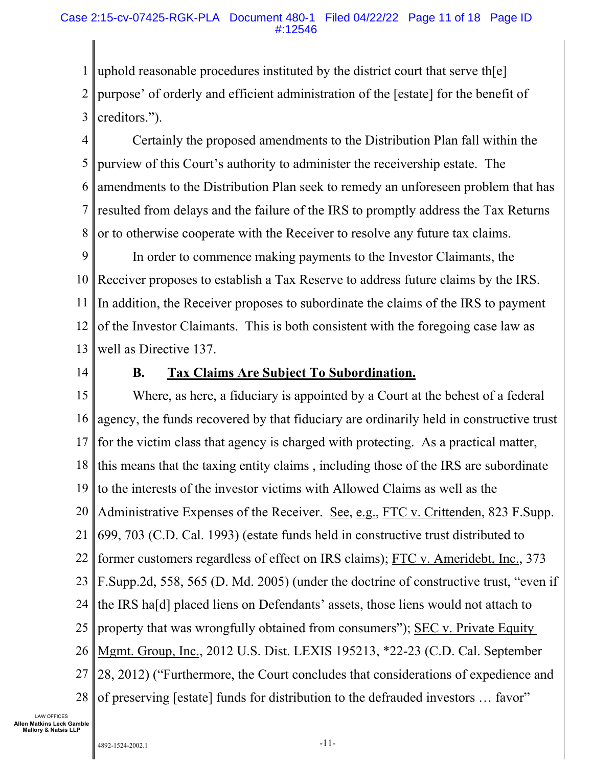1 2 3 uphold reasonable procedures instituted by the district court that serve th[e] purpose' of orderly and efficient administration of the [estate] for the benefit of creditors.").

4 5 6 7 8 Certainly the proposed amendments to the Distribution Plan fall within the purview of this Court's authority to administer the receivership estate. The amendments to the Distribution Plan seek to remedy an unforeseen problem that has resulted from delays and the failure of the IRS to promptly address the Tax Returns or to otherwise cooperate with the Receiver to resolve any future tax claims.

9 10 11 12 13 In order to commence making payments to the Investor Claimants, the Receiver proposes to establish a Tax Reserve to address future claims by the IRS. In addition, the Receiver proposes to subordinate the claims of the IRS to payment of the Investor Claimants. This is both consistent with the foregoing case law as well as Directive 137.

14

# **B. Tax Claims Are Subject To Subordination.**

15 16 17 18 19 20 21 22 23 24 25 26 27 28 Where, as here, a fiduciary is appointed by a Court at the behest of a federal agency, the funds recovered by that fiduciary are ordinarily held in constructive trust for the victim class that agency is charged with protecting. As a practical matter, this means that the taxing entity claims , including those of the IRS are subordinate to the interests of the investor victims with Allowed Claims as well as the Administrative Expenses of the Receiver. See, e.g., FTC v. Crittenden, 823 F.Supp. 699, 703 (C.D. Cal. 1993) (estate funds held in constructive trust distributed to former customers regardless of effect on IRS claims); FTC v. Ameridebt, Inc., 373 F.Supp.2d, 558, 565 (D. Md. 2005) (under the doctrine of constructive trust, "even if the IRS ha[d] placed liens on Defendants' assets, those liens would not attach to property that was wrongfully obtained from consumers"); SEC v. Private Equity Mgmt. Group, Inc., 2012 U.S. Dist. LEXIS 195213, \*22-23 (C.D. Cal. September 28, 2012) ("Furthermore, the Court concludes that considerations of expedience and of preserving [estate] funds for distribution to the defrauded investors … favor"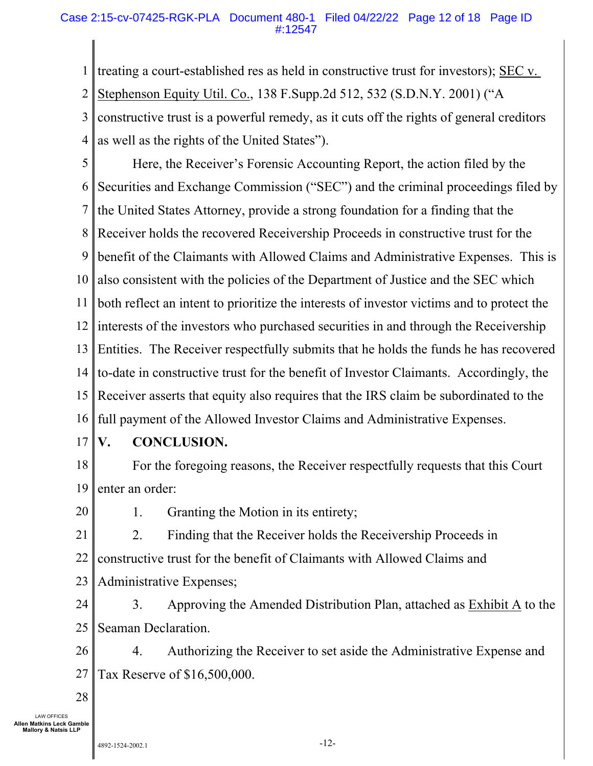### Case 2:15-cv-07425-RGK-PLA Document 480-1 Filed 04/22/22 Page 12 of 18 Page ID #:12547

1 2 3 4 treating a court-established res as held in constructive trust for investors); SEC v. Stephenson Equity Util. Co., 138 F.Supp.2d 512, 532 (S.D.N.Y. 2001) ("A constructive trust is a powerful remedy, as it cuts off the rights of general creditors as well as the rights of the United States").

5 6 7 8 9 10 11 12 13 14 15 16 Here, the Receiver's Forensic Accounting Report, the action filed by the Securities and Exchange Commission ("SEC") and the criminal proceedings filed by the United States Attorney, provide a strong foundation for a finding that the Receiver holds the recovered Receivership Proceeds in constructive trust for the benefit of the Claimants with Allowed Claims and Administrative Expenses. This is also consistent with the policies of the Department of Justice and the SEC which both reflect an intent to prioritize the interests of investor victims and to protect the interests of the investors who purchased securities in and through the Receivership Entities. The Receiver respectfully submits that he holds the funds he has recovered to-date in constructive trust for the benefit of Investor Claimants. Accordingly, the Receiver asserts that equity also requires that the IRS claim be subordinated to the full payment of the Allowed Investor Claims and Administrative Expenses.

17

# **V. CONCLUSION.**

- 18 19 For the foregoing reasons, the Receiver respectfully requests that this Court enter an order:
- 20

1. Granting the Motion in its entirety;

- 21 22 2. Finding that the Receiver holds the Receivership Proceeds in constructive trust for the benefit of Claimants with Allowed Claims and
- 23 Administrative Expenses;
- 24 25 3. Approving the Amended Distribution Plan, attached as Exhibit A to the Seaman Declaration.

26 27 4. Authorizing the Receiver to set aside the Administrative Expense and Tax Reserve of \$16,500,000.

28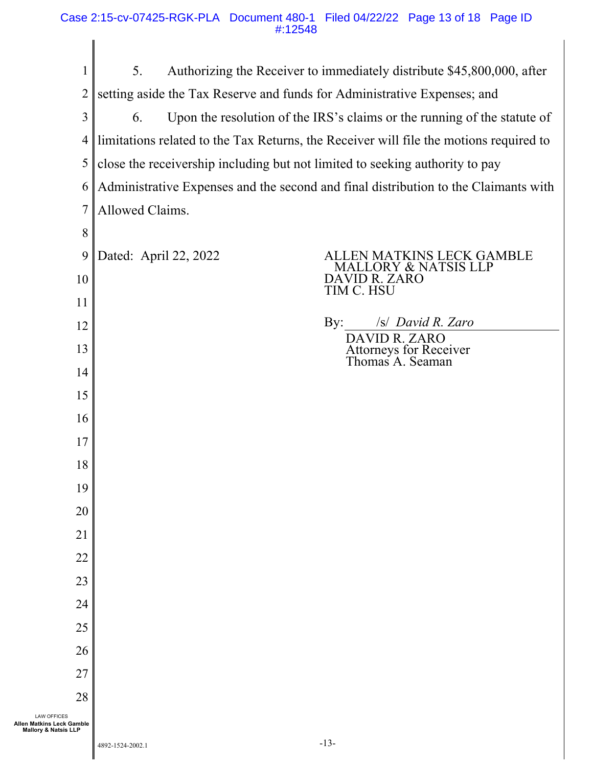| 1                                                                                  | 5.                                                                                     | Authorizing the Receiver to immediately distribute \$45,800,000, after |  |
|------------------------------------------------------------------------------------|----------------------------------------------------------------------------------------|------------------------------------------------------------------------|--|
| 2                                                                                  | setting aside the Tax Reserve and funds for Administrative Expenses; and               |                                                                        |  |
| 3                                                                                  | Upon the resolution of the IRS's claims or the running of the statute of<br>6.         |                                                                        |  |
| 4                                                                                  | limitations related to the Tax Returns, the Receiver will file the motions required to |                                                                        |  |
| 5                                                                                  | close the receivership including but not limited to seeking authority to pay           |                                                                        |  |
| 6                                                                                  | Administrative Expenses and the second and final distribution to the Claimants with    |                                                                        |  |
| $\overline{7}$                                                                     | Allowed Claims.                                                                        |                                                                        |  |
| 8                                                                                  |                                                                                        |                                                                        |  |
| 9                                                                                  | Dated: April 22, 2022                                                                  | ALLEN MATKINS LECK GAMBLE<br>MALLORY & NATSIS LLP                      |  |
| 10                                                                                 |                                                                                        | DAVID R. ZARO<br>TIM C. HSU                                            |  |
| 11                                                                                 |                                                                                        |                                                                        |  |
| 12                                                                                 |                                                                                        | By:<br>/s/ David R. Zaro                                               |  |
| 13                                                                                 |                                                                                        | DAVID R. ZARO<br>Attorneys for Receiver<br>Thomas A. Seaman            |  |
| 14                                                                                 |                                                                                        |                                                                        |  |
| 15                                                                                 |                                                                                        |                                                                        |  |
| 16                                                                                 |                                                                                        |                                                                        |  |
| 17                                                                                 |                                                                                        |                                                                        |  |
| 18                                                                                 |                                                                                        |                                                                        |  |
| 19                                                                                 |                                                                                        |                                                                        |  |
| 20                                                                                 |                                                                                        |                                                                        |  |
| 21                                                                                 |                                                                                        |                                                                        |  |
| 22                                                                                 |                                                                                        |                                                                        |  |
| 23                                                                                 |                                                                                        |                                                                        |  |
| 24                                                                                 |                                                                                        |                                                                        |  |
| 25                                                                                 |                                                                                        |                                                                        |  |
| 26                                                                                 |                                                                                        |                                                                        |  |
| 27                                                                                 |                                                                                        |                                                                        |  |
| 28                                                                                 |                                                                                        |                                                                        |  |
| <b>LAW OFFICES</b><br>Allen Matkins Leck Gamble<br><b>Mallory &amp; Natsis LLP</b> |                                                                                        |                                                                        |  |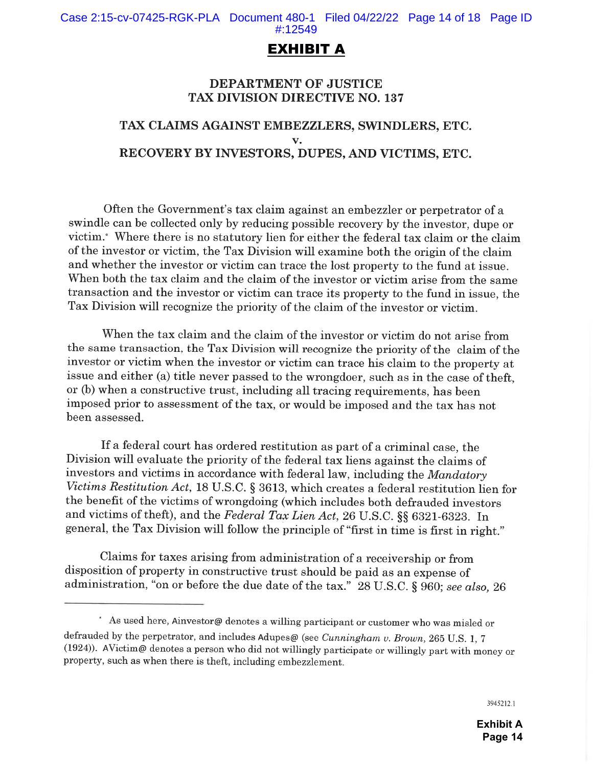# EXHIBIT A

## **DEPARTMENT OF JUSTICE TAX DIVISION DIRECTIVE NO. 137**

# TAX CLAIMS AGAINST EMBEZZLERS, SWINDLERS, ETC.  $\mathbf{v}$ . RECOVERY BY INVESTORS, DUPES, AND VICTIMS, ETC.

Often the Government's tax claim against an embergler or perpetrator of a swindle can be collected only by reducing possible recovery by the investor, dupe or victim.\* Where there is no statutory lien for either the federal tax claim or the claim of the investor or victim, the Tax Division will examine both the origin of the claim and whether the investor or victim can trace the lost property to the fund at issue. When both the tax claim and the claim of the investor or victim arise from the same transaction and the investor or victim can trace its property to the fund in issue, the Tax Division will recognize the priority of the claim of the investor or victim.

When the tax claim and the claim of the investor or victim do not arise from the same transaction, the Tax Division will recognize the priority of the claim of the investor or victim when the investor or victim can trace his claim to the property at issue and either (a) title never passed to the wrongdoer, such as in the case of theft. or (b) when a constructive trust, including all tracing requirements, has been imposed prior to assessment of the tax, or would be imposed and the tax has not been assessed.

If a federal court has ordered restitution as part of a criminal case, the Division will evaluate the priority of the federal tax liens against the claims of investors and victims in accordance with federal law, including the Mandatory Victims Restitution Act, 18 U.S.C. § 3613, which creates a federal restitution lien for the benefit of the victims of wrongdoing (which includes both defrauded investors and victims of theft), and the Federal Tax Lien Act, 26 U.S.C. §§ 6321-6323. In general, the Tax Division will follow the principle of "first in time is first in right."

Claims for taxes arising from administration of a receivership or from disposition of property in constructive trust should be paid as an expense of administration, "on or before the due date of the tax." 28 U.S.C. § 960; see also, 26

3945212.1

<sup>\*</sup> As used here, Ainvestor@ denotes a willing participant or customer who was misled or defrauded by the perpetrator, and includes Adupes@ (see Cunningham v. Brown, 265 U.S. 1, 7 (1924)). AVictim@ denotes a person who did not willingly participate or willingly part with money or property, such as when there is theft, including embezzlement.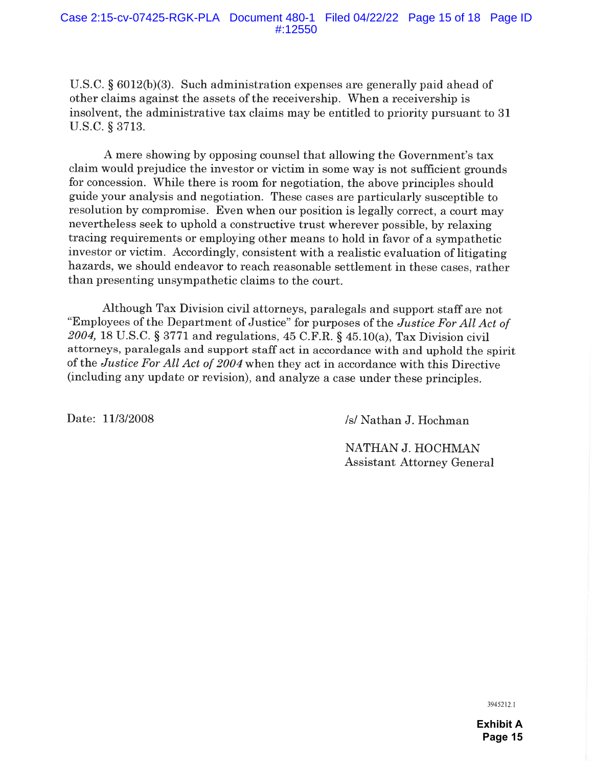U.S.C.  $\S 6012(b)(3)$ . Such administration expenses are generally paid ahead of other claims against the assets of the receivership. When a receivership is insolvent, the administrative tax claims may be entitled to priority pursuant to 31 U.S.C. § 3713.

A mere showing by opposing counsel that allowing the Government's tax claim would prejudice the investor or victim in some way is not sufficient grounds for concession. While there is room for negotiation, the above principles should guide your analysis and negotiation. These cases are particularly susceptible to resolution by compromise. Even when our position is legally correct, a court may nevertheless seek to uphold a constructive trust wherever possible, by relaxing tracing requirements or employing other means to hold in favor of a sympathetic investor or victim. Accordingly, consistent with a realistic evaluation of litigating hazards, we should endeavor to reach reasonable settlement in these cases, rather than presenting unsympathetic claims to the court.

Although Tax Division civil attorneys, paralegals and support staff are not "Employees of the Department of Justice" for purposes of the *Justice For All Act of* 2004, 18 U.S.C. § 3771 and regulations, 45 C.F.R. § 45.10(a), Tax Division civil attorneys, paralegals and support staff act in accordance with and uphold the spirit of the Justice For All Act of 2004 when they act in accordance with this Directive (including any update or revision), and analyze a case under these principles.

Date: 11/3/2008

/s/ Nathan J. Hochman

NATHAN J. HOCHMAN **Assistant Attorney General** 

3945212.1

**Exhibit A Page 15**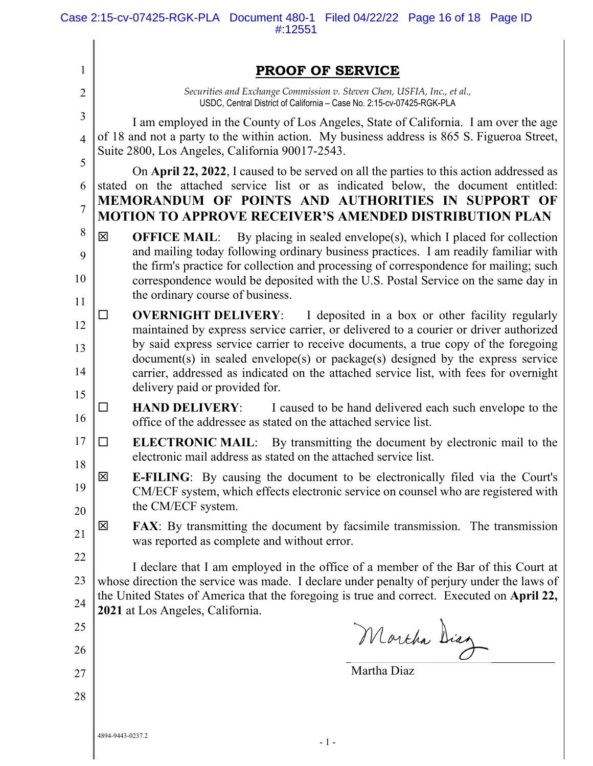| $\mathbf{1}$   | <b>PROOF OF SERVICE</b>                                                                                                                                                                                                                                           |
|----------------|-------------------------------------------------------------------------------------------------------------------------------------------------------------------------------------------------------------------------------------------------------------------|
| $\overline{2}$ | Securities and Exchange Commission v. Steven Chen, USFIA, Inc., et al.,<br>USDC, Central District of California - Case No. 2:15-cv-07425-RGK-PLA                                                                                                                  |
| 3              | I am employed in the County of Los Angeles, State of California. I am over the age                                                                                                                                                                                |
| $\overline{4}$ | of 18 and not a party to the within action. My business address is 865 S. Figueroa Street,<br>Suite 2800, Los Angeles, California 90017-2543.                                                                                                                     |
| 5<br>6         | On April 22, 2022, I caused to be served on all the parties to this action addressed as<br>stated on the attached service list or as indicated below, the document entitled:                                                                                      |
| $\overline{7}$ | MEMORANDUM OF POINTS AND AUTHORITIES IN SUPPORT OF<br><b>MOTION TO APPROVE RECEIVER'S AMENDED DISTRIBUTION PLAN</b>                                                                                                                                               |
| 8              | 区<br><b>OFFICE MAIL:</b> By placing in sealed envelope(s), which I placed for collection                                                                                                                                                                          |
| 9<br>10        | and mailing today following ordinary business practices. I am readily familiar with<br>the firm's practice for collection and processing of correspondence for mailing; such<br>correspondence would be deposited with the U.S. Postal Service on the same day in |
| 11             | the ordinary course of business.                                                                                                                                                                                                                                  |
| 12             | I deposited in a box or other facility regularly<br><b>OVERNIGHT DELIVERY:</b><br>ΙI<br>maintained by express service carrier, or delivered to a courier or driver authorized                                                                                     |
| 13             | by said express service carrier to receive documents, a true copy of the foregoing<br>document(s) in sealed envelope(s) or package(s) designed by the express service                                                                                             |
| 14<br>15       | carrier, addressed as indicated on the attached service list, with fees for overnight<br>delivery paid or provided for.                                                                                                                                           |
| 16             | I caused to be hand delivered each such envelope to the<br><b>HAND DELIVERY:</b><br>$\mathsf{L}$<br>office of the addressee as stated on the attached service list.                                                                                               |
| 17<br>18       | <b>ELECTRONIC MAIL:</b> By transmitting the document by electronic mail to the<br>□<br>electronic mail address as stated on the attached service list.                                                                                                            |
| 19             | 区<br><b>E-FILING:</b> By causing the document to be electronically filed via the Court's<br>CM/ECF system, which effects electronic service on counsel who are registered with<br>the CM/ECF system.                                                              |
| 20<br>21       | 区<br><b>FAX:</b> By transmitting the document by facsimile transmission. The transmission<br>was reported as complete and without error.                                                                                                                          |
| 22             | I declare that I am employed in the office of a member of the Bar of this Court at                                                                                                                                                                                |
| 23             | whose direction the service was made. I declare under penalty of perjury under the laws of                                                                                                                                                                        |
| 24             | the United States of America that the foregoing is true and correct. Executed on April 22,<br>2021 at Los Angeles, California.                                                                                                                                    |
| 25             |                                                                                                                                                                                                                                                                   |
| 26             | Mortha Diag                                                                                                                                                                                                                                                       |
| 27             | Martha Diaz                                                                                                                                                                                                                                                       |
| 28             |                                                                                                                                                                                                                                                                   |
|                |                                                                                                                                                                                                                                                                   |
|                | 4894-9443-0237.2<br>$-1-$                                                                                                                                                                                                                                         |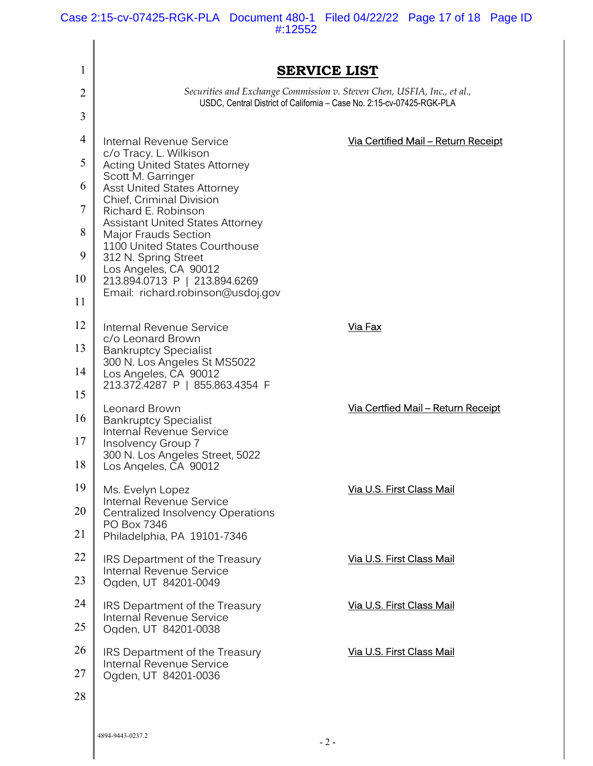Case 2:15-cv-07425-RGK-PLA Document 480-1 Filed 04/22/22 Page 17 of 18 Page ID #:12552

| 1              |                                                                                                                                                                                                                                                                                                          | <b>SERVICE LIST</b>                                                                                                                              |
|----------------|----------------------------------------------------------------------------------------------------------------------------------------------------------------------------------------------------------------------------------------------------------------------------------------------------------|--------------------------------------------------------------------------------------------------------------------------------------------------|
| 2              |                                                                                                                                                                                                                                                                                                          | Securities and Exchange Commission v. Steven Chen, USFIA, Inc., et al.,<br>USDC, Central District of California - Case No. 2:15-cv-07425-RGK-PLA |
| 3              |                                                                                                                                                                                                                                                                                                          |                                                                                                                                                  |
| $\overline{4}$ | Internal Revenue Service                                                                                                                                                                                                                                                                                 | Via Certified Mail - Return Receipt                                                                                                              |
| 5              | c/o Tracy. L. Wilkison<br><b>Acting United States Attorney</b>                                                                                                                                                                                                                                           |                                                                                                                                                  |
| 6              | Scott M. Garringer<br><b>Asst United States Attorney</b><br>Chief, Criminal Division<br>Richard E. Robinson<br><b>Assistant United States Attorney</b><br><b>Major Frauds Section</b><br>1100 United States Courthouse<br>312 N. Spring Street<br>Los Angeles, CA 90012<br>213.894.0713 P   213.894.6269 |                                                                                                                                                  |
| 7              |                                                                                                                                                                                                                                                                                                          |                                                                                                                                                  |
| 8              |                                                                                                                                                                                                                                                                                                          |                                                                                                                                                  |
| 9              |                                                                                                                                                                                                                                                                                                          |                                                                                                                                                  |
| 10             |                                                                                                                                                                                                                                                                                                          |                                                                                                                                                  |
| 11             | Email: richard.robinson@usdoj.gov                                                                                                                                                                                                                                                                        |                                                                                                                                                  |
| 12             | Internal Revenue Service                                                                                                                                                                                                                                                                                 | Via Fax                                                                                                                                          |
| 13             | c/o Leonard Brown<br><b>Bankruptcy Specialist</b>                                                                                                                                                                                                                                                        |                                                                                                                                                  |
| 14             | 300 N. Los Angeles St MS5022<br>Los Angeles, CA 90012                                                                                                                                                                                                                                                    |                                                                                                                                                  |
| 15             | 213.372.4287 P   855.863.4354 F                                                                                                                                                                                                                                                                          |                                                                                                                                                  |
| 16             | Leonard Brown<br><b>Bankruptcy Specialist</b>                                                                                                                                                                                                                                                            | <u>Via Certfied Mail – Return Receipt</u>                                                                                                        |
| 17             | Internal Revenue Service<br>Insolvency Group 7                                                                                                                                                                                                                                                           |                                                                                                                                                  |
| 18             | 300 N. Los Angeles Street, 5022<br>Los Angeles, CA 90012                                                                                                                                                                                                                                                 |                                                                                                                                                  |
| 19             | Ms. Evelyn Lopez                                                                                                                                                                                                                                                                                         | Via U.S. First Class Mail                                                                                                                        |
| 20             | Internal Revenue Service<br><b>Centralized Insolvency Operations</b>                                                                                                                                                                                                                                     |                                                                                                                                                  |
| 21             | PO Box 7346<br>Philadelphia, PA 19101-7346                                                                                                                                                                                                                                                               |                                                                                                                                                  |
| 22             | IRS Department of the Treasury                                                                                                                                                                                                                                                                           | Via U.S. First Class Mail                                                                                                                        |
| 23             | Internal Revenue Service<br>Ogden, UT 84201-0049                                                                                                                                                                                                                                                         |                                                                                                                                                  |
| 24             | IRS Department of the Treasury<br><b>Internal Revenue Service</b>                                                                                                                                                                                                                                        | Via U.S. First Class Mail                                                                                                                        |
| 25             | Ogden, UT 84201-0038                                                                                                                                                                                                                                                                                     |                                                                                                                                                  |
| 26             | IRS Department of the Treasury<br><b>Internal Revenue Service</b><br>Ogden, UT 84201-0036                                                                                                                                                                                                                | Via U.S. First Class Mail                                                                                                                        |
| 27             |                                                                                                                                                                                                                                                                                                          |                                                                                                                                                  |
| 28             |                                                                                                                                                                                                                                                                                                          |                                                                                                                                                  |
|                |                                                                                                                                                                                                                                                                                                          |                                                                                                                                                  |